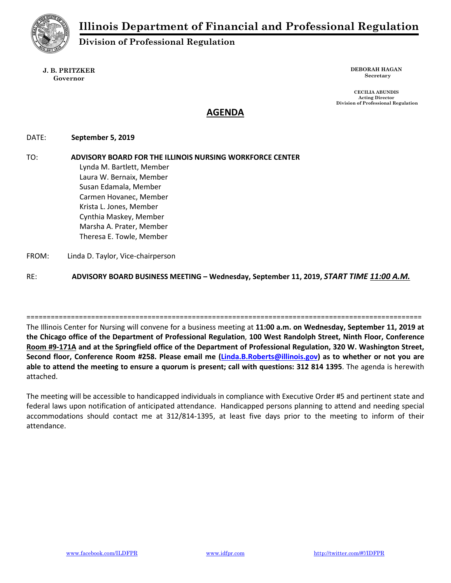

Division of Professional Regulation

J. B. PRITZKER Governor

DEBORAH HAGAN Secretary

CECILIA ABUNDIS Acting Director Division of Professional Regulation

# AGENDA

# DATE: September 5, 2019

TO: ADVISORY BOARD FOR THE ILLINOIS NURSING WORKFORCE CENTER Lynda M. Bartlett, Member Laura W. Bernaix, Member Susan Edamala, Member Carmen Hovanec, Member Krista L. Jones, Member Cynthia Maskey, Member Marsha A. Prater, Member Theresa E. Towle, Member

FROM: Linda D. Taylor, Vice-chairperson

RE: ADVISORY BOARD BUSINESS MEETING - Wednesday, September 11, 2019, START TIME 11:00 A.M.

==================================================================================================

The Illinois Center for Nursing will convene for a business meeting at 11:00 a.m. on Wednesday, September 11, 2019 at the Chicago office of the Department of Professional Regulation, 100 West Randolph Street, Ninth Floor, Conference Room #9-171A and at the Springfield office of the Department of Professional Regulation, 320 W. Washington Street, Second floor, Conference Room #258. Please email me (Linda.B.Roberts@illinois.gov) as to whether or not you are able to attend the meeting to ensure a quorum is present; call with questions: 312 814 1395. The agenda is herewith attached.

The meeting will be accessible to handicapped individuals in compliance with Executive Order #5 and pertinent state and federal laws upon notification of anticipated attendance. Handicapped persons planning to attend and needing special accommodations should contact me at 312/814-1395, at least five days prior to the meeting to inform of their attendance.